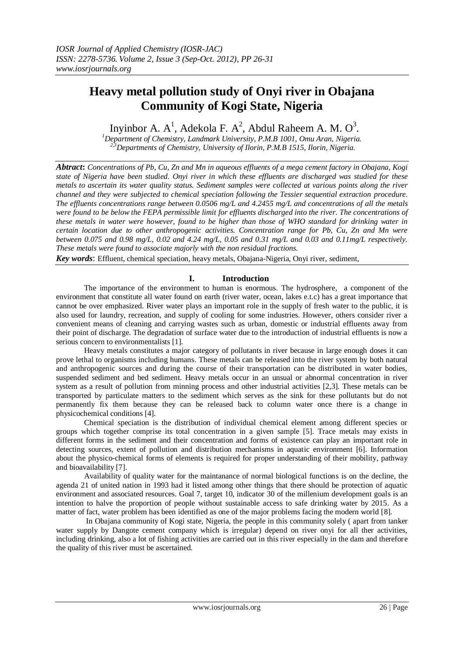# **Heavy metal pollution study of Onyi river in Obajana Community of Kogi State, Nigeria**

Inyinbor A.  $A^1$ , Adekola F.  $A^2$ , Abdul Raheem A. M.  $O^3$ .

*<sup>1</sup>Department of Chemistry, Landmark University, P.M.B 1001, Omu Aran, Nigeria. 2,3Departments of Chemistry, University of Ilorin, P.M.B 1515, Ilorin, Nigeria.*

*Abtract***:** *Concentrations of Pb, Cu, Zn and Mn in aqueous effluents of a mega cement factory in Obajana, Kogi state of Nigeria have been studied. Onyi river in which these effluents are discharged was studied for these metals to ascertain its water quality status. Sediment samples were collected at various points along the river channel and they were subjected to chemical speciation following the Tessier sequential extraction procedure. The effluents concentrations range between 0.0506 mg/L and 4.2455 mg/L and concentrations of all the metals were found to be below the FEPA permissible limit for effluents discharged into the river. The concentrations of these metals in water were however, found to be higher than those of WHO standard for drinking water in certain location due to other anthropogenic activities. Concentration range for Pb, Cu, Zn and Mn were between 0.075 and 0.98 mg/L, 0.02 and 4.24 mg/L, 0.05 and 0.31 mg/L and 0.03 and 0.11mg/L respectively. These metals were found to associate majorly with the non residual fractions.*

*Key words*: Effluent, chemical speciation, heavy metals, Obajana-Nigeria, Onyi river, sediment,

## **I. Introduction**

The importance of the environment to human is enormous. The hydrosphere, a component of the environment that constitute all water found on earth (river water, ocean, lakes e.t.c) has a great importance that cannot be over emphasized. River water plays an important role in the supply of fresh water to the public, it is also used for laundry, recreation, and supply of cooling for some industries. However, others consider river a convenient means of cleaning and carrying wastes such as urban, domestic or industrial effluents away from their point of discharge. The degradation of surface water due to the introduction of industrial effluents is now a serious concern to environmentalists [1].

Heavy metals constitutes a major category of pollutants in river because in large enough doses it can prove lethal to organisms including humans. These metals can be released into the river system by both natural and anthropogenic sources and during the course of their transportation can be distributed in water bodies, suspended sediment and bed sediment. Heavy metals occur in an unsual or abnormal concentration in river system as a result of pollution from minning process and other industrial activities [2,3]. These metals can be transported by particulate matters to the sediment which serves as the sink for these pollutants but do not permanently fix them because they can be released back to column water once there is a change in physicochemical conditions [4].

Chemical speciation is the distribution of individual chemical element among different species or groups which together comprise its total concentration in a given sample [5]. Trace metals may exists in different forms in the sediment and their concentration and forms of existence can play an important role in detecting sources, extent of pollution and distribution mechanisms in aquatic environment [6]. Information about the physico-chemical forms of elements is required for proper understanding of their mobility, pathway and bioavailability [7].

Availability of quality water for the maintanance of normal biological functions is on the decline, the agenda 21 of united nation in 1993 had it listed among other things that there should be protection of aquatic environment and associated resources. Goal 7, target 10, indicator 30 of the millenium development goals is an intention to halve the proportion of people without sustainable access to safe drinking water by 2015. As a matter of fact, water problem has been identified as one of the major problems facing the modern world [8].

In Obajana community of Kogi state, Nigeria, the people in this community solely ( apart from tanker water supply by Dangote cement company which is irregular) depend on river onyi for all ther activities, including drinking, also a lot of fishing activities are carried out in this river especially in the dam and therefore the quality of this river must be ascertained.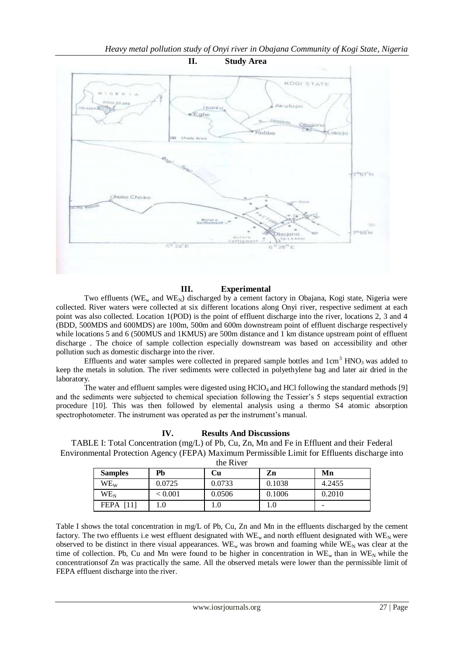

## **III. Experimental**

Two effluents ( $WE_w$  and  $WE_N$ ) discharged by a cement factory in Obajana, Kogi state, Nigeria were collected. River waters were collected at six different locations along Onyi river, respective sediment at each point was also collected. Location 1(POD) is the point of effluent discharge into the river, locations 2, 3 and 4 (BDD, 500MDS and 600MDS) are 100m, 500m and 600m downstream point of effluent discharge respectively while locations 5 and 6 (500 MUS and 1 KMUS) are 500m distance and 1 km distance upstream point of effluent discharge . The choice of sample collection especially downstream was based on accessibility and other pollution such as domestic discharge into the river.

Effluents and water samples were collected in prepared sample bottles and  $1 \text{cm}^3$  HNO<sub>3</sub> was added to keep the metals in solution. The river sediments were collected in polyethylene bag and later air dried in the laboratory.

The water and effluent samples were digested using  $HCIO_4$  and  $HCI$  following the standard methods [9] and the sediments were subjected to chemical speciation following the Tessier's 5 steps sequential extraction procedure [10]. This was then followed by elemental analysis using a thermo S4 atomic absorption spectrophotometer. The instrument was operated as per the instrument's manual.

#### **IV. Results And Discussions**

TABLE I: Total Concentration (mg/L) of Pb, Cu, Zn, Mn and Fe in Effluent and their Federal Environmental Protection Agency (FEPA) Maximum Permissible Limit for Effluents discharge into the River

| <b>Samples</b>        | Pb      | Сu     | Zn      | Mn     |
|-----------------------|---------|--------|---------|--------|
| WE <sub>w</sub>       | 0.0725  | 0.0733 | 0.1038  | 4.2455 |
| $WE_N$                | < 0.001 | 0.0506 | 0.1006  | 0.2010 |
| $\Box$<br><b>FEPA</b> |         | ι.∪    | $1.0\,$ |        |

Table I shows the total concentration in mg/L of Pb, Cu, Zn and Mn in the effluents discharged by the cement factory. The two effluents i.e west effluent designated with  $WE_w$  and north effluent designated with  $WE_N$  were observed to be distinct in there visual appearances. WE<sub>w</sub> was brown and foaming while WE<sub>N</sub> was clear at the time of collection. Pb, Cu and Mn were found to be higher in concentration in  $WE_w$  than in  $WE_N$  while the concentrationsof Zn was practically the same. All the observed metals were lower than the permissible limit of FEPA effluent discharge into the river.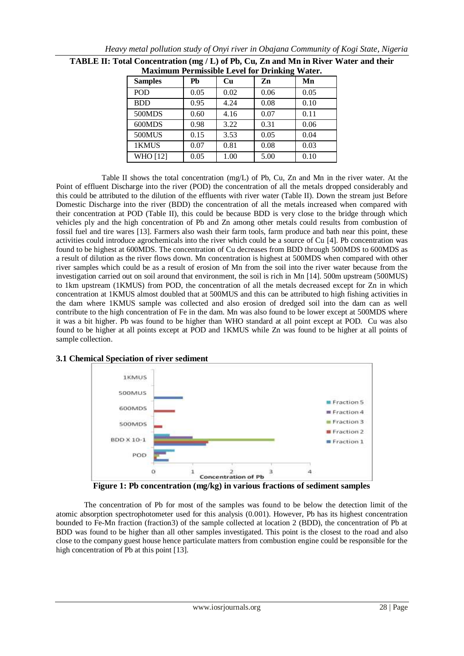| <b>Maximum I et missione Level for Drimaing</b><br>,, |      |      |      |      |  |  |
|-------------------------------------------------------|------|------|------|------|--|--|
| <b>Samples</b>                                        | Pb   | Cu   | Zn   | Mn   |  |  |
| POD                                                   | 0.05 | 0.02 | 0.06 | 0.05 |  |  |
| <b>BDD</b>                                            | 0.95 | 4.24 | 0.08 | 0.10 |  |  |
| 500MDS                                                | 0.60 | 4.16 | 0.07 | 0.11 |  |  |
| 600MDS                                                | 0.98 | 3.22 | 0.31 | 0.06 |  |  |
| <b>500MUS</b>                                         | 0.15 | 3.53 | 0.05 | 0.04 |  |  |
| 1KMUS                                                 | 0.07 | 0.81 | 0.08 | 0.03 |  |  |
| WHO [12]                                              | 0.05 | 1.00 | 5.00 | 0.10 |  |  |

| TABLE II: Total Concentration (mg / L) of Pb, Cu, Zn and Mn in River Water and their |
|--------------------------------------------------------------------------------------|
| <b>Maximum Permissible Level for Drinking Water.</b>                                 |

Table II shows the total concentration (mg/L) of Pb, Cu, Zn and Mn in the river water. At the Point of effluent Discharge into the river (POD) the concentration of all the metals dropped considerably and this could be attributed to the dilution of the effluents with river water (Table II). Down the stream just Before Domestic Discharge into the river (BDD) the concentration of all the metals increased when compared with their concentration at POD (Table II), this could be because BDD is very close to the bridge through which vehicles ply and the high concentration of Pb and Zn among other metals could results from combustion of fossil fuel and tire wares [13]. Farmers also wash their farm tools, farm produce and bath near this point, these activities could introduce agrochemicals into the river which could be a source of Cu [4]. Pb concentration was found to be highest at 600MDS. The concentration of Cu decreases from BDD through 500MDS to 600MDS as a result of dilution as the river flows down. Mn concentration is highest at 500MDS when compared with other river samples which could be as a result of erosion of Mn from the soil into the river water because from the investigation carried out on soil around that environment, the soil is rich in Mn [14]. 500m upstream (500MUS) to 1km upstream (1KMUS) from POD, the concentration of all the metals decreased except for Zn in which concentration at 1KMUS almost doubled that at 500MUS and this can be attributed to high fishing activities in the dam where 1KMUS sample was collected and also erosion of dredged soil into the dam can as well contribute to the high concentration of Fe in the dam. Mn was also found to be lower except at 500MDS where it was a bit higher. Pb was found to be higher than WHO standard at all point except at POD. Cu was also found to be higher at all points except at POD and 1KMUS while Zn was found to be higher at all points of sample collection.

#### **3.1 Chemical Speciation of river sediment**



**Figure 1: Pb concentration (mg/kg) in various fractions of sediment samples**

The concentration of Pb for most of the samples was found to be below the detection limit of the atomic absorption spectrophotometer used for this analysis (0.001). However, Pb has its highest concentration bounded to Fe-Mn fraction (fraction3) of the sample collected at location 2 (BDD), the concentration of Pb at BDD was found to be higher than all other samples investigated. This point is the closest to the road and also close to the company guest house hence particulate matters from combustion engine could be responsible for the high concentration of Pb at this point [13].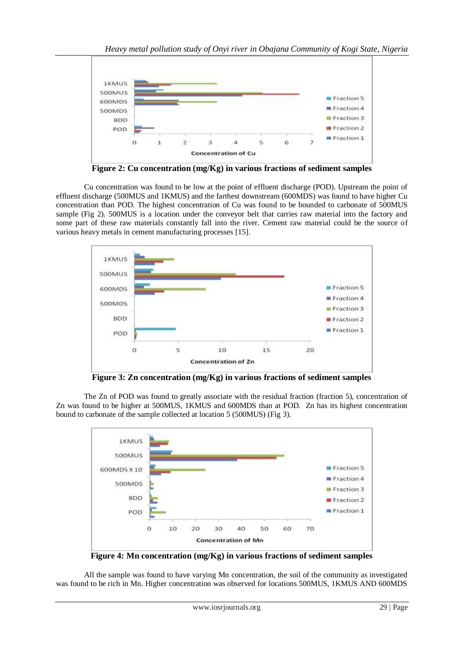

**Figure 2: Cu concentration (mg/Kg) in various fractions of sediment samples**

Cu concentration was found to be low at the point of effluent discharge (POD). Upstream the point of effluent discharge (500MUS and 1KMUS) and the farthest downstream (600MDS) was found to have higher Cu concentration than POD. The highest concentration of Cu was found to be bounded to carbonate of 500MUS sample (Fig 2). 500MUS is a location under the conveyor belt that carries raw material into the factory and some part of these raw materials constantly fall into the river. Cement raw material could be the source of various heavy metals in cement manufacturing processes [15].



**Figure 3: Zn concentration (mg/Kg) in various fractions of sediment samples**

The Zn of POD was found to greatly associate with the residual fraction (fraction 5), concentration of Zn was found to be higher at 500MUS, 1KMUS and 600MDS than at POD. Zn has its highest concentration bound to carbonate of the sample collected at location 5 (500MUS) (Fig 3).



**Figure 4: Mn concentration (mg/Kg) in various fractions of sediment samples**

All the sample was found to have varying Mn concentration, the soil of the community as investigated was found to be rich in Mn. Higher concentration was observed for locations 500MUS, 1KMUS AND 600MDS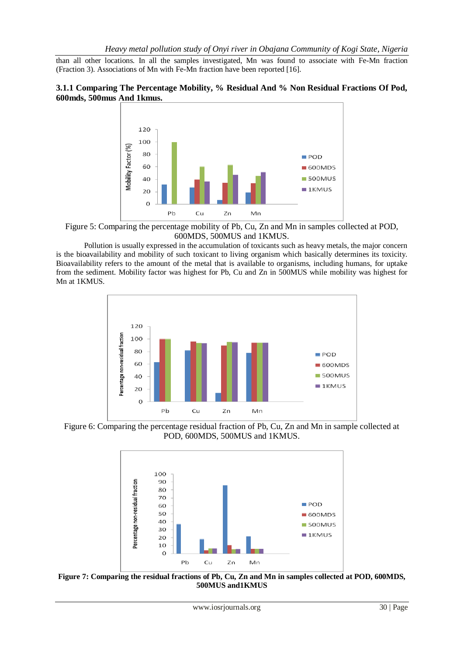than all other locations. In all the samples investigated, Mn was found to associate with Fe-Mn fraction (Fraction 3). Associations of Mn with Fe-Mn fraction have been reported [16].

#### **3.1.1 Comparing The Percentage Mobility, % Residual And % Non Residual Fractions Of Pod, 600mds, 500mus And 1kmus.**



Figure 5: Comparing the percentage mobility of Pb, Cu, Zn and Mn in samples collected at POD, 600MDS, 500MUS and 1KMUS.

Pollution is usually expressed in the accumulation of toxicants such as heavy metals, the major concern is the bioavailability and mobility of such toxicant to living organism which basically determines its toxicity. Bioavailability refers to the amount of the metal that is available to organisms, including humans, for uptake from the sediment. Mobility factor was highest for Pb, Cu and Zn in 500MUS while mobility was highest for Mn at 1KMUS.



Figure 6: Comparing the percentage residual fraction of Pb, Cu, Zn and Mn in sample collected at POD, 600MDS, 500MUS and 1KMUS.